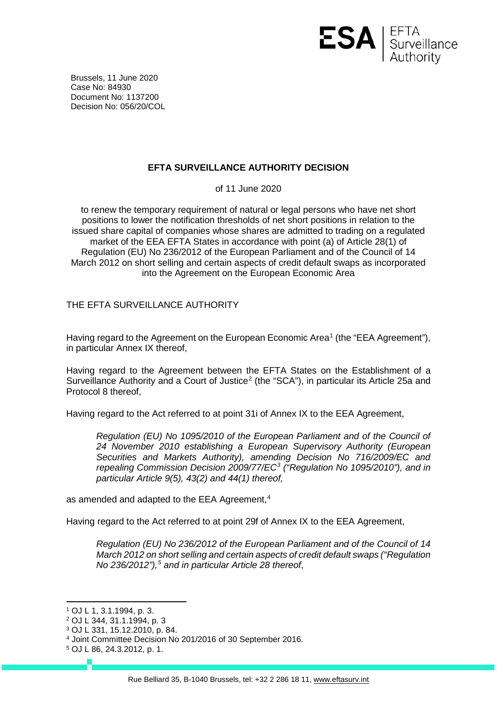

Brussels, 11 June 2020 Case No: 84930 Document No: 1137200 Decision No: 056/20/COL

## **EFTA SURVEILLANCE AUTHORITY DECISION**

of 11 June 2020

to renew the temporary requirement of natural or legal persons who have net short positions to lower the notification thresholds of net short positions in relation to the issued share capital of companies whose shares are admitted to trading on a regulated market of the EEA EFTA States in accordance with point (a) of Article 28(1) of Regulation (EU) No 236/2012 of the European Parliament and of the Council of 14 March 2012 on short selling and certain aspects of credit default swaps as incorporated into the Agreement on the European Economic Area

THE EFTA SURVEILLANCE AUTHORITY

Having regard to the Agreement on the European Economic Area<sup>[1](#page-0-0)</sup> (the "EEA Agreement"), in particular Annex IX thereof,

Having regard to the Agreement between the EFTA States on the Establishment of a Surveillance Authority and a Court of Justice<sup>[2](#page-0-1)</sup> (the "SCA"), in particular its Article 25a and Protocol 8 thereof,

Having regard to the Act referred to at point 31i of Annex IX to the EEA Agreement,

*Regulation (EU) No 1095/2010 of the European Parliament and of the Council of 24 November 2010 establishing a European Supervisory Authority (European Securities and Markets Authority), amending Decision No 716/2009/EC and repealing Commission Decision 2009/77/EC[3](#page-0-2) ("Regulation No 1095/2010"), and in particular Article 9(5), 43(2) and 44(1) thereof,*

as amended and adapted to the EEA Agreement, [4](#page-0-3)

Having regard to the Act referred to at point 29f of Annex IX to the EEA Agreement,

*Regulation (EU) No 236/2012 of the European Parliament and of the Council of 14 March 2012 on short selling and certain aspects of credit default swaps ("Regulation No 236/2012"), [5](#page-0-4) and in particular Article 28 thereof*,

<span id="page-0-0"></span> <sup>1</sup> OJ L 1, 3.1.1994, p. 3.

<span id="page-0-1"></span><sup>2</sup> OJ L 344, 31.1.1994, p. 3

<span id="page-0-2"></span><sup>3</sup> OJ L 331, 15.12.2010, p. 84.

<span id="page-0-3"></span><sup>4</sup> Joint Committee Decision No 201/2016 of 30 September 2016.

<span id="page-0-4"></span><sup>5</sup> OJ L 86, 24.3.2012, p. 1.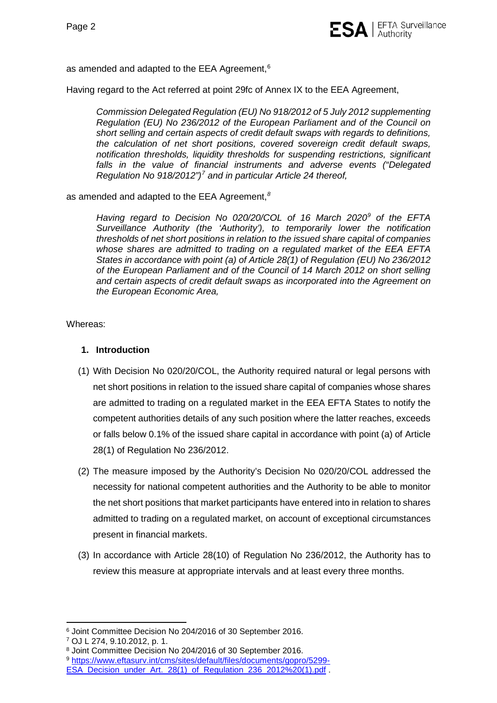

as amended and adapted to the EEA Agreement, $^6$  $^6$ 

Having regard to the Act referred at point 29fc of Annex IX to the EEA Agreement,

*Commission Delegated Regulation (EU) No 918/2012 of 5 July 2012 supplementing Regulation (EU) No 236/2012 of the European Parliament and of the Council on short selling and certain aspects of credit default swaps with regards to definitions, the calculation of net short positions, covered sovereign credit default swaps, notification thresholds, liquidity thresholds for suspending restrictions, significant falls in the value of financial instruments and adverse events ("Delegated Regulation No 918/2012") [7](#page-1-1) and in particular Article 24 thereof,*

as amended and adapted to the EEA Agreement, *[8](#page-1-2)*

*Having regard to Decision No 020/20/COL of 16 March 2020[9](#page-1-3) of the EFTA Surveillance Authority (the 'Authority'), to temporarily lower the notification thresholds of net short positions in relation to the issued share capital of companies whose shares are admitted to trading on a regulated market of the EEA EFTA States in accordance with point (a) of Article 28(1) of Regulation (EU) No 236/2012 of the European Parliament and of the Council of 14 March 2012 on short selling and certain aspects of credit default swaps as incorporated into the Agreement on the European Economic Area,*

Whereas:

## **1. Introduction**

- (1) With Decision No 020/20/COL, the Authority required natural or legal persons with net short positions in relation to the issued share capital of companies whose shares are admitted to trading on a regulated market in the EEA EFTA States to notify the competent authorities details of any such position where the latter reaches, exceeds or falls below 0.1% of the issued share capital in accordance with point (a) of Article 28(1) of Regulation No 236/2012.
- (2) The measure imposed by the Authority's Decision No 020/20/COL addressed the necessity for national competent authorities and the Authority to be able to monitor the net short positions that market participants have entered into in relation to shares admitted to trading on a regulated market, on account of exceptional circumstances present in financial markets.
- (3) In accordance with Article 28(10) of Regulation No 236/2012, the Authority has to review this measure at appropriate intervals and at least every three months.

<span id="page-1-0"></span> <sup>6</sup> Joint Committee Decision No 204/2016 of 30 September 2016.

<span id="page-1-1"></span><sup>7</sup> OJ L 274, 9.10.2012, p. 1.

<sup>8</sup> Joint Committee Decision No 204/2016 of 30 September 2016.

<span id="page-1-3"></span><span id="page-1-2"></span><sup>9</sup> [https://www.eftasurv.int/cms/sites/default/files/documents/gopro/5299-](https://www.eftasurv.int/cms/sites/default/files/documents/gopro/5299-ESA_Decision_under_Art._28(1)_of_Regulation_236_2012%20(1).pdf)

[ESA\\_Decision\\_under\\_Art.\\_28\(1\)\\_of\\_Regulation\\_236\\_2012%20\(1\).pdf](https://www.eftasurv.int/cms/sites/default/files/documents/gopro/5299-ESA_Decision_under_Art._28(1)_of_Regulation_236_2012%20(1).pdf) .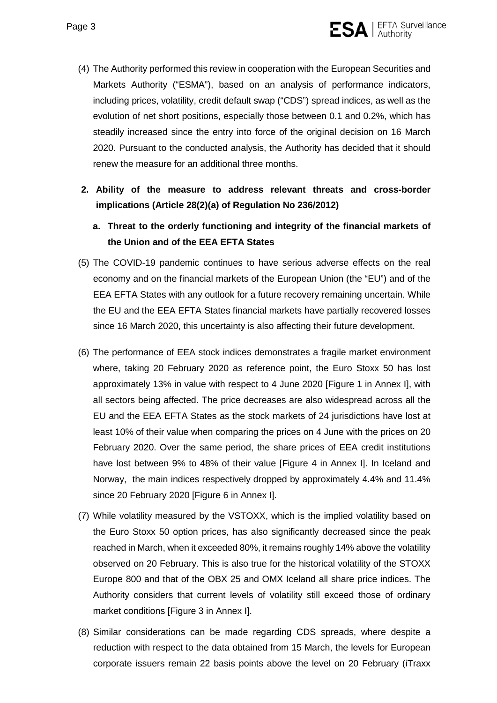

- (4) The Authority performed this review in cooperation with the European Securities and Markets Authority ("ESMA"), based on an analysis of performance indicators, including prices, volatility, credit default swap ("CDS") spread indices, as well as the evolution of net short positions, especially those between 0.1 and 0.2%, which has steadily increased since the entry into force of the original decision on 16 March 2020. Pursuant to the conducted analysis, the Authority has decided that it should renew the measure for an additional three months.
- **2. Ability of the measure to address relevant threats and cross-border implications (Article 28(2)(a) of Regulation No 236/2012)**
	- **a. Threat to the orderly functioning and integrity of the financial markets of the Union and of the EEA EFTA States**
- (5) The COVID-19 pandemic continues to have serious adverse effects on the real economy and on the financial markets of the European Union (the "EU") and of the EEA EFTA States with any outlook for a future recovery remaining uncertain. While the EU and the EEA EFTA States financial markets have partially recovered losses since 16 March 2020, this uncertainty is also affecting their future development.
- (6) The performance of EEA stock indices demonstrates a fragile market environment where, taking 20 February 2020 as reference point, the Euro Stoxx 50 has lost approximately 13% in value with respect to 4 June 2020 [\[Figure 1](#page-13-0) in Annex I], with all sectors being affected. The price decreases are also widespread across all the EU and the EEA EFTA States as the stock markets of 24 jurisdictions have lost at least 10% of their value when comparing the prices on 4 June with the prices on 20 February 2020. Over the same period, the share prices of EEA credit institutions have lost between 9% to 48% of their value [\[Figure 4](#page-15-0) in Annex I]. In Iceland and Norway, the main indices respectively dropped by approximately 4.4% and 11.4% since 20 February 2020 [\[Figure 6](#page-16-0) in Annex I].
- (7) While volatility measured by the VSTOXX, which is the implied volatility based on the Euro Stoxx 50 option prices, has also significantly decreased since the peak reached in March, when it exceeded 80%, it remains roughly 14% above the volatility observed on 20 February. This is also true for the historical volatility of the STOXX Europe 800 and that of the OBX 25 and OMX Iceland all share price indices. The Authority considers that current levels of volatility still exceed those of ordinary market conditions [\[Figure](#page-15-1) 3 in Annex I].
- (8) Similar considerations can be made regarding CDS spreads, where despite a reduction with respect to the data obtained from 15 March, the levels for European corporate issuers remain 22 basis points above the level on 20 February (iTraxx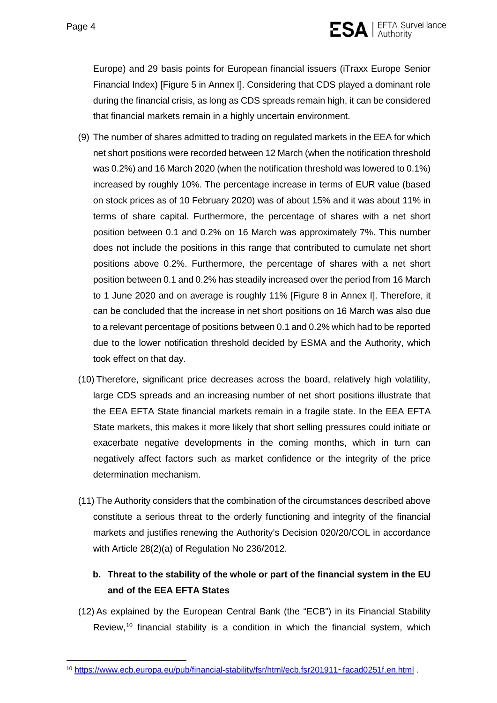

Europe) and 29 basis points for European financial issuers (iTraxx Europe Senior Financial Index) [\[Figure 5](#page-16-1) in Annex I]. Considering that CDS played a dominant role during the financial crisis, as long as CDS spreads remain high, it can be considered that financial markets remain in a highly uncertain environment.

- (9) The number of shares admitted to trading on regulated markets in the EEA for which net short positions were recorded between 12 March (when the notification threshold was 0.2%) and 16 March 2020 (when the notification threshold was lowered to 0.1%) increased by roughly 10%. The percentage increase in terms of EUR value (based on stock prices as of 10 February 2020) was of about 15% and it was about 11% in terms of share capital. Furthermore, the percentage of shares with a net short position between 0.1 and 0.2% on 16 March was approximately 7%. This number does not include the positions in this range that contributed to cumulate net short positions above 0.2%. Furthermore, the percentage of shares with a net short position between 0.1 and 0.2% has steadily increased over the period from 16 March to 1 June 2020 and on average is roughly 11% [\[Figure 8](#page-18-0) in Annex I]. Therefore, it can be concluded that the increase in net short positions on 16 March was also due to a relevant percentage of positions between 0.1 and 0.2% which had to be reported due to the lower notification threshold decided by ESMA and the Authority, which took effect on that day.
- (10) Therefore, significant price decreases across the board, relatively high volatility, large CDS spreads and an increasing number of net short positions illustrate that the EEA EFTA State financial markets remain in a fragile state. In the EEA EFTA State markets, this makes it more likely that short selling pressures could initiate or exacerbate negative developments in the coming months, which in turn can negatively affect factors such as market confidence or the integrity of the price determination mechanism.
- (11) The Authority considers that the combination of the circumstances described above constitute a serious threat to the orderly functioning and integrity of the financial markets and justifies renewing the Authority's Decision 020/20/COL in accordance with Article 28(2)(a) of Regulation No 236/2012.

# **b. Threat to the stability of the whole or part of the financial system in the EU and of the EEA EFTA States**

(12) As explained by the European Central Bank (the "ECB") in its Financial Stability Review, [10](#page-3-0) financial stability is a condition in which the financial system, which

<span id="page-3-0"></span> <sup>10</sup> [https://www.ecb.europa.eu/pub/financial-stability/fsr/html/ecb.fsr201911~facad0251f.en.html](https://www.ecb.europa.eu/pub/financial-stability/fsr/html/ecb.fsr201911%7Efacad0251f.en.html) .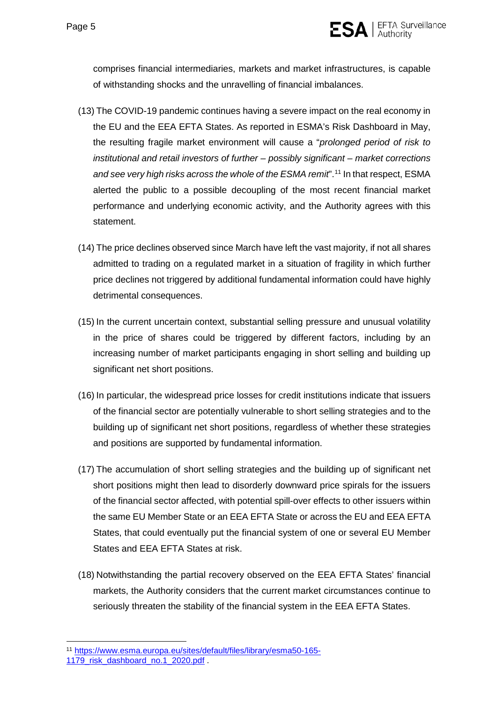

comprises financial intermediaries, markets and market infrastructures, is capable of withstanding shocks and the unravelling of financial imbalances.

- (13) The COVID-19 pandemic continues having a severe impact on the real economy in the EU and the EEA EFTA States. As reported in ESMA's Risk Dashboard in May, the resulting fragile market environment will cause a "*prolonged period of risk to institutional and retail investors of further – possibly significant – market corrections and see very high risks across the whole of the ESMA remit*". [11](#page-4-0) In that respect, ESMA alerted the public to a possible decoupling of the most recent financial market performance and underlying economic activity, and the Authority agrees with this statement.
- (14) The price declines observed since March have left the vast majority, if not all shares admitted to trading on a regulated market in a situation of fragility in which further price declines not triggered by additional fundamental information could have highly detrimental consequences.
- (15) In the current uncertain context, substantial selling pressure and unusual volatility in the price of shares could be triggered by different factors, including by an increasing number of market participants engaging in short selling and building up significant net short positions.
- (16) In particular, the widespread price losses for credit institutions indicate that issuers of the financial sector are potentially vulnerable to short selling strategies and to the building up of significant net short positions, regardless of whether these strategies and positions are supported by fundamental information.
- (17) The accumulation of short selling strategies and the building up of significant net short positions might then lead to disorderly downward price spirals for the issuers of the financial sector affected, with potential spill-over effects to other issuers within the same EU Member State or an EEA EFTA State or across the EU and EEA EFTA States, that could eventually put the financial system of one or several EU Member States and EEA EFTA States at risk.
- (18) Notwithstanding the partial recovery observed on the EEA EFTA States' financial markets, the Authority considers that the current market circumstances continue to seriously threaten the stability of the financial system in the EEA EFTA States.

<span id="page-4-0"></span> <sup>11</sup> [https://www.esma.europa.eu/sites/default/files/library/esma50-165-](https://www.esma.europa.eu/sites/default/files/library/esma50-165-1179_risk_dashboard_no.1_2020.pdf)

<sup>1179</sup> risk dashboard no.1 2020.pdf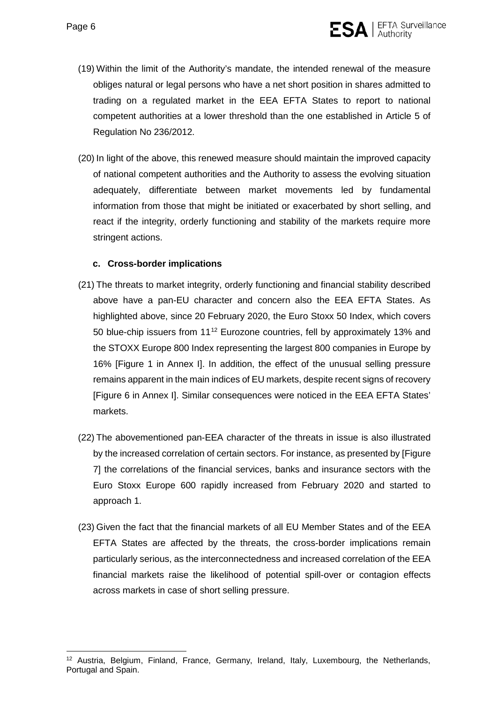

- (19) Within the limit of the Authority's mandate, the intended renewal of the measure obliges natural or legal persons who have a net short position in shares admitted to trading on a regulated market in the EEA EFTA States to report to national competent authorities at a lower threshold than the one established in Article 5 of Regulation No 236/2012.
- (20) In light of the above, this renewed measure should maintain the improved capacity of national competent authorities and the Authority to assess the evolving situation adequately, differentiate between market movements led by fundamental information from those that might be initiated or exacerbated by short selling, and react if the integrity, orderly functioning and stability of the markets require more stringent actions.

#### **c. Cross-border implications**

- (21) The threats to market integrity, orderly functioning and financial stability described above have a pan-EU character and concern also the EEA EFTA States. As highlighted above, since 20 February 2020, the Euro Stoxx 50 Index, which covers 50 blue-chip issuers from 11[12](#page-5-0) Eurozone countries, fell by approximately 13% and the STOXX Europe 800 Index representing the largest 800 companies in Europe by 16% [\[Figure 1](#page-13-0) in Annex I]. In addition, the effect of the unusual selling pressure remains apparent in the main indices of EU markets, despite recent signs of recovery [\[Figure 6](#page-16-0) in Annex I]. Similar consequences were noticed in the EEA EFTA States' markets.
- (22) The abovementioned pan-EEA character of the threats in issue is also illustrated by the increased correlation of certain sectors. For instance, as presented by [\[Figure](#page-17-0)  [7\]](#page-17-0) the correlations of the financial services, banks and insurance sectors with the Euro Stoxx Europe 600 rapidly increased from February 2020 and started to approach 1.
- (23) Given the fact that the financial markets of all EU Member States and of the EEA EFTA States are affected by the threats, the cross-border implications remain particularly serious, as the interconnectedness and increased correlation of the EEA financial markets raise the likelihood of potential spill-over or contagion effects across markets in case of short selling pressure.

<span id="page-5-0"></span><sup>&</sup>lt;sup>12</sup> Austria, Belgium, Finland, France, Germany, Ireland, Italy, Luxembourg, the Netherlands, Portugal and Spain.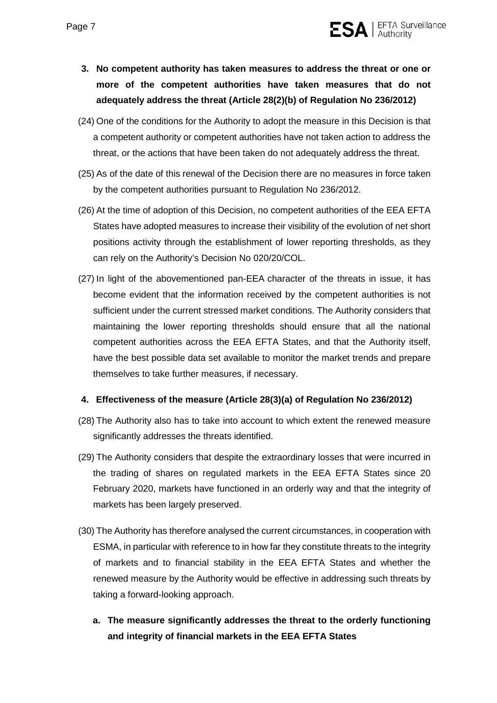

- **3. No competent authority has taken measures to address the threat or one or more of the competent authorities have taken measures that do not adequately address the threat (Article 28(2)(b) of Regulation No 236/2012)**
- (24) One of the conditions for the Authority to adopt the measure in this Decision is that a competent authority or competent authorities have not taken action to address the threat, or the actions that have been taken do not adequately address the threat.
- (25) As of the date of this renewal of the Decision there are no measures in force taken by the competent authorities pursuant to Regulation No 236/2012.
- (26) At the time of adoption of this Decision, no competent authorities of the EEA EFTA States have adopted measures to increase their visibility of the evolution of net short positions activity through the establishment of lower reporting thresholds, as they can rely on the Authority's Decision No 020/20/COL.
- (27) In light of the abovementioned pan-EEA character of the threats in issue, it has become evident that the information received by the competent authorities is not sufficient under the current stressed market conditions. The Authority considers that maintaining the lower reporting thresholds should ensure that all the national competent authorities across the EEA EFTA States, and that the Authority itself, have the best possible data set available to monitor the market trends and prepare themselves to take further measures, if necessary.

#### **4. Effectiveness of the measure (Article 28(3)(a) of Regulation No 236/2012)**

- (28) The Authority also has to take into account to which extent the renewed measure significantly addresses the threats identified.
- (29) The Authority considers that despite the extraordinary losses that were incurred in the trading of shares on regulated markets in the EEA EFTA States since 20 February 2020, markets have functioned in an orderly way and that the integrity of markets has been largely preserved.
- (30) The Authority has therefore analysed the current circumstances, in cooperation with ESMA, in particular with reference to in how far they constitute threats to the integrity of markets and to financial stability in the EEA EFTA States and whether the renewed measure by the Authority would be effective in addressing such threats by taking a forward-looking approach.
	- **a. The measure significantly addresses the threat to the orderly functioning and integrity of financial markets in the EEA EFTA States**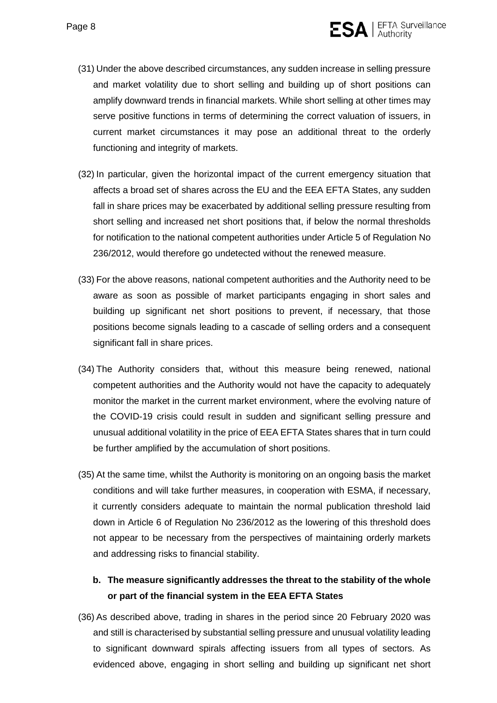

- (31) Under the above described circumstances, any sudden increase in selling pressure and market volatility due to short selling and building up of short positions can amplify downward trends in financial markets. While short selling at other times may serve positive functions in terms of determining the correct valuation of issuers, in current market circumstances it may pose an additional threat to the orderly functioning and integrity of markets.
- (32) In particular, given the horizontal impact of the current emergency situation that affects a broad set of shares across the EU and the EEA EFTA States, any sudden fall in share prices may be exacerbated by additional selling pressure resulting from short selling and increased net short positions that, if below the normal thresholds for notification to the national competent authorities under Article 5 of Regulation No 236/2012, would therefore go undetected without the renewed measure.
- (33) For the above reasons, national competent authorities and the Authority need to be aware as soon as possible of market participants engaging in short sales and building up significant net short positions to prevent, if necessary, that those positions become signals leading to a cascade of selling orders and a consequent significant fall in share prices.
- (34) The Authority considers that, without this measure being renewed, national competent authorities and the Authority would not have the capacity to adequately monitor the market in the current market environment, where the evolving nature of the COVID-19 crisis could result in sudden and significant selling pressure and unusual additional volatility in the price of EEA EFTA States shares that in turn could be further amplified by the accumulation of short positions.
- (35) At the same time, whilst the Authority is monitoring on an ongoing basis the market conditions and will take further measures, in cooperation with ESMA, if necessary, it currently considers adequate to maintain the normal publication threshold laid down in Article 6 of Regulation No 236/2012 as the lowering of this threshold does not appear to be necessary from the perspectives of maintaining orderly markets and addressing risks to financial stability.

# **b. The measure significantly addresses the threat to the stability of the whole or part of the financial system in the EEA EFTA States**

(36) As described above, trading in shares in the period since 20 February 2020 was and still is characterised by substantial selling pressure and unusual volatility leading to significant downward spirals affecting issuers from all types of sectors. As evidenced above, engaging in short selling and building up significant net short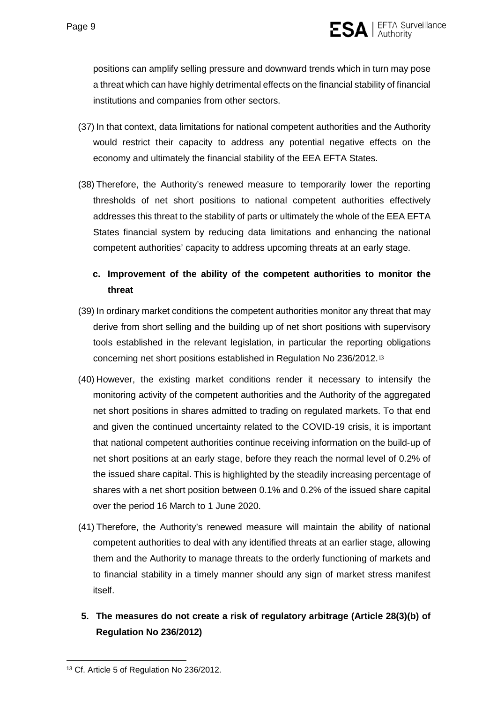

positions can amplify selling pressure and downward trends which in turn may pose a threat which can have highly detrimental effects on the financial stability of financial institutions and companies from other sectors.

- (37) In that context, data limitations for national competent authorities and the Authority would restrict their capacity to address any potential negative effects on the economy and ultimately the financial stability of the EEA EFTA States.
- (38) Therefore, the Authority's renewed measure to temporarily lower the reporting thresholds of net short positions to national competent authorities effectively addresses this threat to the stability of parts or ultimately the whole of the EEA EFTA States financial system by reducing data limitations and enhancing the national competent authorities' capacity to address upcoming threats at an early stage.

# **c. Improvement of the ability of the competent authorities to monitor the threat**

- (39) In ordinary market conditions the competent authorities monitor any threat that may derive from short selling and the building up of net short positions with supervisory tools established in the relevant legislation, in particular the reporting obligations concerning net short positions established in Regulation No 236/2012.[13](#page-8-0)
- (40) However, the existing market conditions render it necessary to intensify the monitoring activity of the competent authorities and the Authority of the aggregated net short positions in shares admitted to trading on regulated markets. To that end and given the continued uncertainty related to the COVID-19 crisis, it is important that national competent authorities continue receiving information on the build-up of net short positions at an early stage, before they reach the normal level of 0.2% of the issued share capital. This is highlighted by the steadily increasing percentage of shares with a net short position between 0.1% and 0.2% of the issued share capital over the period 16 March to 1 June 2020.
- (41) Therefore, the Authority's renewed measure will maintain the ability of national competent authorities to deal with any identified threats at an earlier stage, allowing them and the Authority to manage threats to the orderly functioning of markets and to financial stability in a timely manner should any sign of market stress manifest itself.
- **5. The measures do not create a risk of regulatory arbitrage (Article 28(3)(b) of Regulation No 236/2012)**

<span id="page-8-0"></span> <sup>13</sup> Cf. Article 5 of Regulation No 236/2012.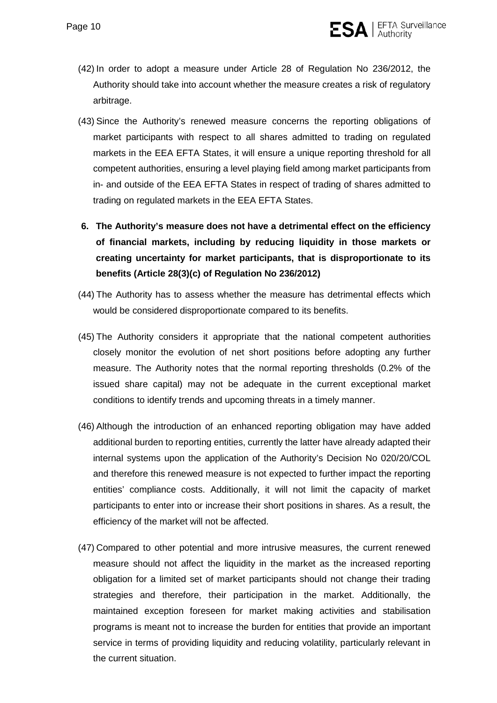

- (42) In order to adopt a measure under Article 28 of Regulation No 236/2012, the Authority should take into account whether the measure creates a risk of regulatory arbitrage.
- (43) Since the Authority's renewed measure concerns the reporting obligations of market participants with respect to all shares admitted to trading on regulated markets in the EEA EFTA States, it will ensure a unique reporting threshold for all competent authorities, ensuring a level playing field among market participants from in- and outside of the EEA EFTA States in respect of trading of shares admitted to trading on regulated markets in the EEA EFTA States.
- **6. The Authority's measure does not have a detrimental effect on the efficiency of financial markets, including by reducing liquidity in those markets or creating uncertainty for market participants, that is disproportionate to its benefits (Article 28(3)(c) of Regulation No 236/2012)**
- (44) The Authority has to assess whether the measure has detrimental effects which would be considered disproportionate compared to its benefits.
- (45) The Authority considers it appropriate that the national competent authorities closely monitor the evolution of net short positions before adopting any further measure. The Authority notes that the normal reporting thresholds (0.2% of the issued share capital) may not be adequate in the current exceptional market conditions to identify trends and upcoming threats in a timely manner.
- (46) Although the introduction of an enhanced reporting obligation may have added additional burden to reporting entities, currently the latter have already adapted their internal systems upon the application of the Authority's Decision No 020/20/COL and therefore this renewed measure is not expected to further impact the reporting entities' compliance costs. Additionally, it will not limit the capacity of market participants to enter into or increase their short positions in shares. As a result, the efficiency of the market will not be affected.
- (47) Compared to other potential and more intrusive measures, the current renewed measure should not affect the liquidity in the market as the increased reporting obligation for a limited set of market participants should not change their trading strategies and therefore, their participation in the market. Additionally, the maintained exception foreseen for market making activities and stabilisation programs is meant not to increase the burden for entities that provide an important service in terms of providing liquidity and reducing volatility, particularly relevant in the current situation.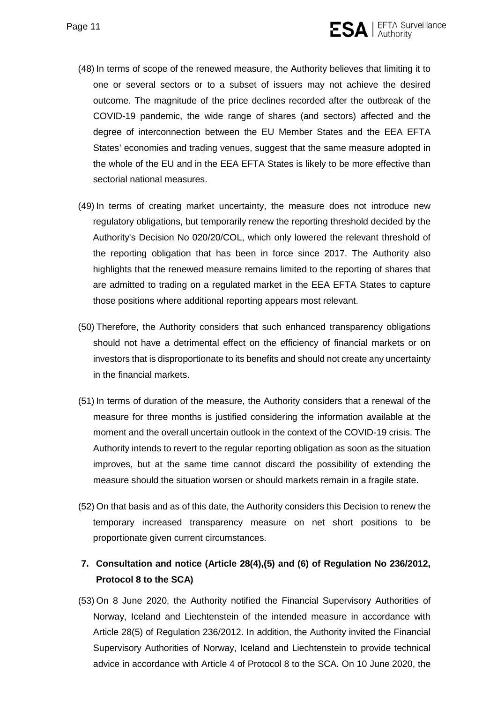

- (48) In terms of scope of the renewed measure, the Authority believes that limiting it to one or several sectors or to a subset of issuers may not achieve the desired outcome. The magnitude of the price declines recorded after the outbreak of the COVID-19 pandemic, the wide range of shares (and sectors) affected and the degree of interconnection between the EU Member States and the EEA EFTA States' economies and trading venues, suggest that the same measure adopted in the whole of the EU and in the EEA EFTA States is likely to be more effective than sectorial national measures.
- (49) In terms of creating market uncertainty, the measure does not introduce new regulatory obligations, but temporarily renew the reporting threshold decided by the Authority's Decision No 020/20/COL, which only lowered the relevant threshold of the reporting obligation that has been in force since 2017. The Authority also highlights that the renewed measure remains limited to the reporting of shares that are admitted to trading on a regulated market in the EEA EFTA States to capture those positions where additional reporting appears most relevant.
- (50) Therefore, the Authority considers that such enhanced transparency obligations should not have a detrimental effect on the efficiency of financial markets or on investors that is disproportionate to its benefits and should not create any uncertainty in the financial markets.
- (51) In terms of duration of the measure, the Authority considers that a renewal of the measure for three months is justified considering the information available at the moment and the overall uncertain outlook in the context of the COVID-19 crisis. The Authority intends to revert to the regular reporting obligation as soon as the situation improves, but at the same time cannot discard the possibility of extending the measure should the situation worsen or should markets remain in a fragile state.
- (52) On that basis and as of this date, the Authority considers this Decision to renew the temporary increased transparency measure on net short positions to be proportionate given current circumstances.

# **7. Consultation and notice (Article 28(4),(5) and (6) of Regulation No 236/2012, Protocol 8 to the SCA)**

(53) On 8 June 2020, the Authority notified the Financial Supervisory Authorities of Norway, Iceland and Liechtenstein of the intended measure in accordance with Article 28(5) of Regulation 236/2012. In addition, the Authority invited the Financial Supervisory Authorities of Norway, Iceland and Liechtenstein to provide technical advice in accordance with Article 4 of Protocol 8 to the SCA. On 10 June 2020, the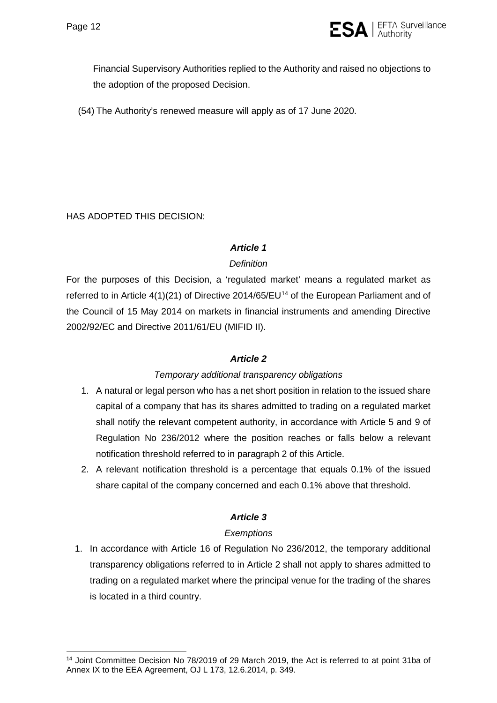

Financial Supervisory Authorities replied to the Authority and raised no objections to the adoption of the proposed Decision.

(54) The Authority's renewed measure will apply as of 17 June 2020.

HAS ADOPTED THIS DECISION:

#### *Article 1*

#### *Definition*

For the purposes of this Decision, a 'regulated market' means a regulated market as referred to in Article 4(1)(21) of Directive 20[14](#page-11-0)/65/EU<sup>14</sup> of the European Parliament and of the Council of 15 May 2014 on markets in financial instruments and amending Directive 2002/92/EC and Directive 2011/61/EU (MIFID II).

## *Article 2*

#### *Temporary additional transparency obligations*

- 1. A natural or legal person who has a net short position in relation to the issued share capital of a company that has its shares admitted to trading on a regulated market shall notify the relevant competent authority, in accordance with Article 5 and 9 of Regulation No 236/2012 where the position reaches or falls below a relevant notification threshold referred to in paragraph 2 of this Article.
- 2. A relevant notification threshold is a percentage that equals 0.1% of the issued share capital of the company concerned and each 0.1% above that threshold.

## *Article 3*

## *Exemptions*

1. In accordance with Article 16 of Regulation No 236/2012, the temporary additional transparency obligations referred to in Article 2 shall not apply to shares admitted to trading on a regulated market where the principal venue for the trading of the shares is located in a third country.

<span id="page-11-0"></span><sup>&</sup>lt;sup>14</sup> Joint Committee Decision No 78/2019 of 29 March 2019, the Act is referred to at point 31ba of Annex IX to the EEA Agreement, OJ L 173, 12.6.2014, p. 349.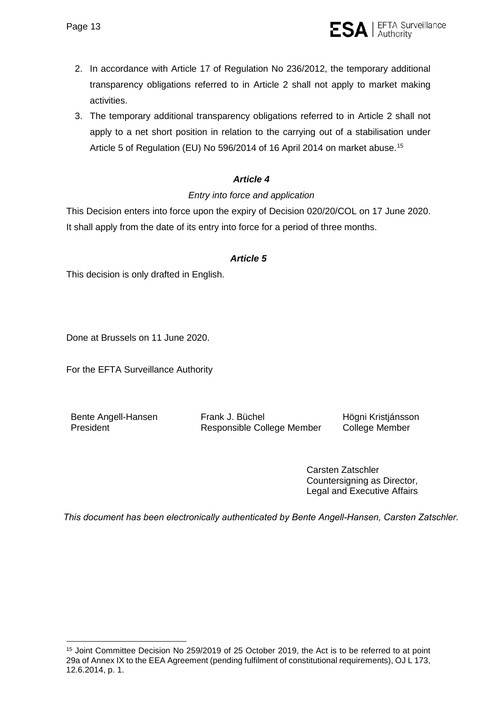- 2. In accordance with Article 17 of Regulation No 236/2012, the temporary additional transparency obligations referred to in Article 2 shall not apply to market making activities.
- 3. The temporary additional transparency obligations referred to in Article 2 shall not apply to a net short position in relation to the carrying out of a stabilisation under Article 5 of Regulation (EU) No 596/2014 of 16 April 2014 on market abuse. [15](#page-12-0)

# *Article 4*

## *Entry into force and application*

This Decision enters into force upon the expiry of Decision 020/20/COL on 17 June 2020. It shall apply from the date of its entry into force for a period of three months.

#### *Article 5*

This decision is only drafted in English.

Done at Brussels on 11 June 2020.

For the EFTA Surveillance Authority

Bente Angell-Hansen President

Frank J. Büchel Responsible College Member Högni Kristjánsson College Member

 $SA$  | EFTA Surveillance

Carsten Zatschler Countersigning as Director, Legal and Executive Affairs

*This document has been electronically authenticated by Bente Angell-Hansen, Carsten Zatschler.*

<span id="page-12-0"></span><sup>15</sup> Joint Committee Decision No 259/2019 of 25 October 2019, the Act is to be referred to at point 29a of Annex IX to the EEA Agreement (pending fulfilment of constitutional requirements), OJ L 173, 12.6.2014, p. 1.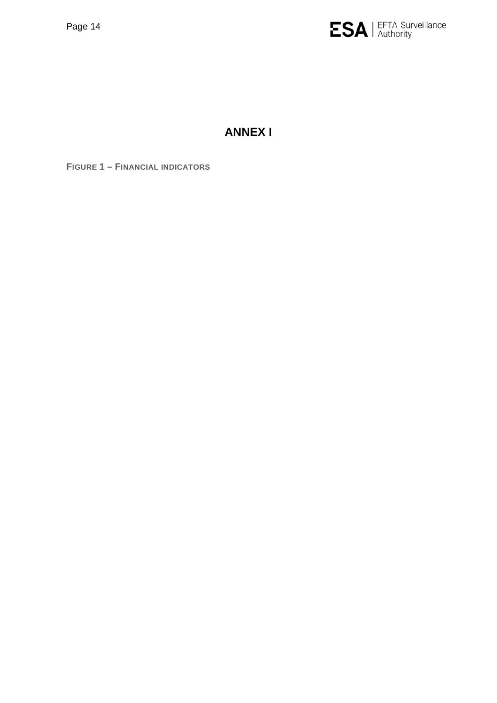

# **ANNEX I**

<span id="page-13-0"></span>**FIGURE 1 – FINANCIAL INDICATORS**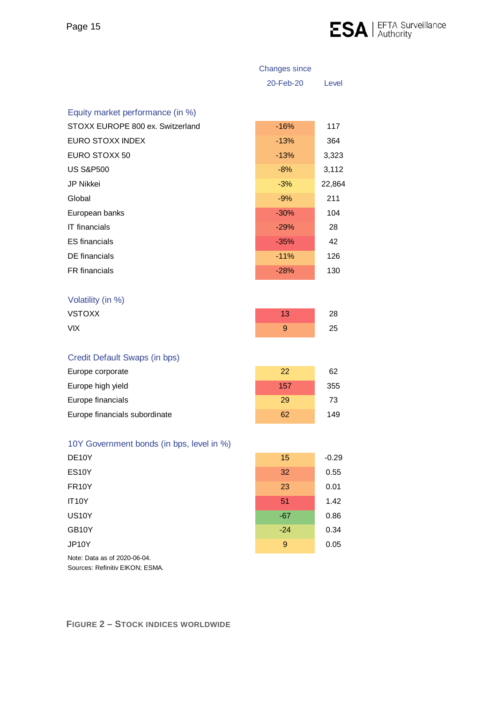

|                                           | <b>Changes since</b> |         |
|-------------------------------------------|----------------------|---------|
|                                           | 20-Feb-20            | Level   |
| Equity market performance (in %)          |                      |         |
| STOXX EUROPE 800 ex. Switzerland          | $-16%$               | 117     |
| <b>EURO STOXX INDEX</b>                   | $-13%$               |         |
|                                           |                      | 364     |
| EURO STOXX 50                             | $-13%$               | 3,323   |
| <b>US S&amp;P500</b>                      | $-8%$                | 3,112   |
| JP Nikkei                                 | $-3%$                | 22,864  |
| Global                                    | $-9%$                | 211     |
| European banks                            | $-30%$               | 104     |
| <b>IT</b> financials                      | $-29%$               | 28      |
| <b>ES</b> financials                      | $-35%$               | 42      |
| <b>DE</b> financials                      | $-11%$               | 126     |
| FR financials                             | $-28%$               | 130     |
|                                           |                      |         |
| Volatility (in %)                         |                      |         |
| <b>VSTOXX</b>                             | 13                   | 28      |
| <b>VIX</b>                                | 9                    | 25      |
|                                           |                      |         |
| Credit Default Swaps (in bps)             |                      |         |
| Europe corporate                          | 22                   | 62      |
| Europe high yield                         | 157                  | 355     |
| Europe financials                         | 29                   | 73      |
| Europe financials subordinate             | 62                   | 149     |
|                                           |                      |         |
| 10Y Government bonds (in bps, level in %) |                      |         |
| DE10Y                                     | 15                   | $-0.29$ |
| <b>ES10Y</b>                              | 32                   | 0.55    |
| <b>FR10Y</b>                              | 23                   | 0.01    |
| <b>IT10Y</b>                              | 51                   | 1.42    |
| <b>US10Y</b>                              | $-67$                | 0.86    |
| GB10Y                                     | $-24$                | 0.34    |
| JP10Y                                     | 9                    | 0.05    |
|                                           |                      |         |

Sources: Refinitiv EIKON; ESMA. Note: Data as of 2020-06-04.

# **FIGURE 2 – STOCK INDICES WORLDWIDE**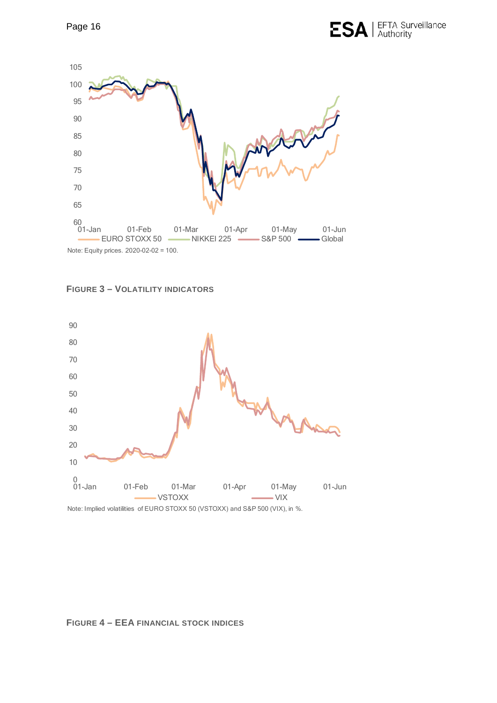

<span id="page-15-1"></span>



# <span id="page-15-0"></span>**FIGURE 4 – EEA FINANCIAL STOCK INDICES**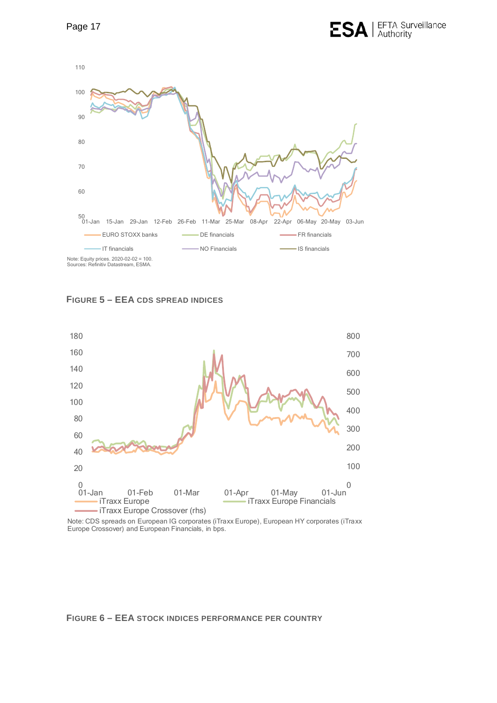

<span id="page-16-1"></span>



Note: CDS spreads on European IG corporates (iTraxx Europe), European HY corporates (iTraxx Europe Crossover) and European Financials, in bps.

#### <span id="page-16-0"></span>**FIGURE 6 – EEA STOCK INDICES PERFORMANCE PER COUNTRY**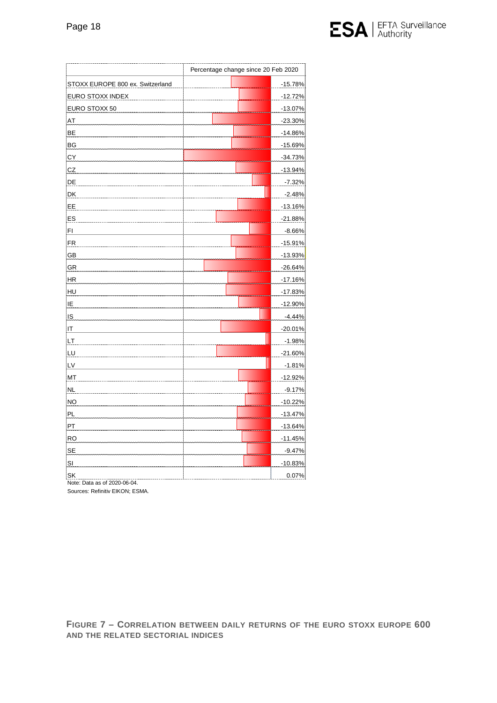

|                                    | Percentage change since 20 Feb 2020 |           |
|------------------------------------|-------------------------------------|-----------|
| STOXX EUROPE 800 ex. Switzerland   |                                     | $-15.78%$ |
| EURO STOXX INDEX                   |                                     | $-12.72%$ |
| EURO STOXX 50                      |                                     | $-13.07%$ |
| AT                                 |                                     | $-23.30%$ |
| BE                                 |                                     | $-14.86%$ |
| BG                                 |                                     | $-15.69%$ |
| СY                                 |                                     | -34.73%   |
| CZ                                 |                                     | $-13.94%$ |
| DE                                 |                                     | $-7.32%$  |
| DK                                 |                                     | $-2.48%$  |
| EE                                 |                                     | $-13.16%$ |
| ES                                 |                                     | $-21.88%$ |
| FI                                 |                                     | $-8.66%$  |
| <b>FR</b>                          |                                     | $-15.91%$ |
| GB                                 |                                     | $-13.93%$ |
| GR                                 |                                     | $-26.64%$ |
| HR                                 |                                     | $-17.16%$ |
| HU                                 |                                     | -17.83%   |
| ΙE                                 |                                     | $-12.90%$ |
| <b>IS</b>                          |                                     | $-4.44%$  |
| IT                                 |                                     | $-20.01%$ |
| LТ                                 |                                     | $-1.98%$  |
| LU                                 |                                     | $-21.60%$ |
| LV                                 |                                     | $-1.81%$  |
| MT                                 |                                     | $-12.92%$ |
| <b>NL</b>                          |                                     | $-9.17%$  |
| <b>NO</b>                          |                                     | $-10.22%$ |
| PL                                 |                                     | $-13.47%$ |
| PT                                 |                                     | $-13.64%$ |
| <b>RO</b>                          |                                     | $-11.45%$ |
| <b>SE</b>                          |                                     | $-9.47%$  |
| SI                                 |                                     | $-10.83%$ |
| SK<br>Note: Data as of 2020-06-04. |                                     | 0.07%     |

Sources: Refinitiv EIKON; ESMA.

<span id="page-17-0"></span>**FIGURE 7 – CORRELATION BETWEEN DAILY RETURNS OF THE EURO STOXX EUROPE 600 AND THE RELATED SECTORIAL INDICES**